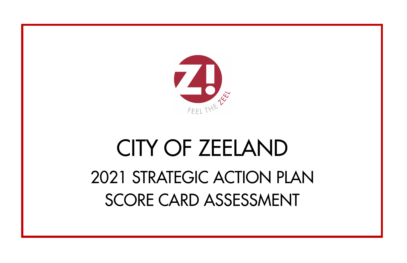

## CITY OF ZEELAND 2021 STRATEGIC ACTION PLAN SCORE CARD ASSESSMENT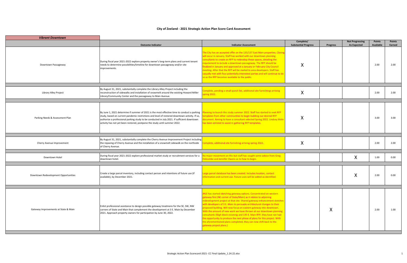| <b>Vibrant Downtown</b>              |                                                                                                                                                                                                                                                                                                                                                                          |                                                                                                                                                                                                                                                                                                                                                                                                                                                                                                                                                                                                                                                                                                          |                                                         |                 |                        |                   |                |
|--------------------------------------|--------------------------------------------------------------------------------------------------------------------------------------------------------------------------------------------------------------------------------------------------------------------------------------------------------------------------------------------------------------------------|----------------------------------------------------------------------------------------------------------------------------------------------------------------------------------------------------------------------------------------------------------------------------------------------------------------------------------------------------------------------------------------------------------------------------------------------------------------------------------------------------------------------------------------------------------------------------------------------------------------------------------------------------------------------------------------------------------|---------------------------------------------------------|-----------------|------------------------|-------------------|----------------|
|                                      |                                                                                                                                                                                                                                                                                                                                                                          |                                                                                                                                                                                                                                                                                                                                                                                                                                                                                                                                                                                                                                                                                                          | Complete/                                               |                 | <b>Not Progressing</b> | <b>Points</b>     | <b>Points</b>  |
| Downtown Passageway                  | <b>Outcome Indicator</b><br>During fiscal year 2021-2022 explore property owner's long-term plans and current tenant<br>needs to determine possibilities/timeline for downtown passageway and/or site<br>improvements.                                                                                                                                                   | <b>Indicator Assessment</b><br>The City has an accepted offer on the 135/137 East Main properties. Closing<br>will occur in January. Staff has worked with our downtown planning<br>consultants to create an RFP to redevelop these spaces, detailing the<br>equirement to include a downtown passageway. The RFP should be<br>finalized in January and approved at a January or February City Council<br>meeting. After that the RFP will be mailed to area developers. Staff has<br>casually met with four potentially interested parties and will continue to do<br>so as the RFP becomes available to the public.                                                                                    | <b>Substantial Progress</b><br>$\mathbf v$<br>$\lambda$ | <b>Progress</b> | <b>As Expected</b>     | Available<br>2.00 | Earned<br>2.00 |
| Library Alley Project                | By August 31, 2021, substantially complete the Library Alley Project including the<br>reconstruction of sidewalks and installation of snowmelt around the existing Howard Miller<br>Library/Community Center and the passageway to Main Avenue.                                                                                                                          | omplete, pending a small punch list, additional site furnishings arriving<br>pring 2022.                                                                                                                                                                                                                                                                                                                                                                                                                                                                                                                                                                                                                 | X                                                       |                 |                        | 2.00              | 2.00           |
| Parking Needs & Assessment Plan      | By June 1, 2021 determine if summer of 2021 is the most effective time to conduct a parking<br>study, based on current pandemic restrictions and level of restored downtown activity. If so,<br>authorize a professional parking study to be conducted in July 2021. If sufficient downtown<br>activity has not yet been restored, postpone the study until summer 2022. | anning to launch this study summer 2022. Staff has started to seek RFP<br>mplates from other communities to begin building our desired RFP<br>ocument. Aiming to have a consultant selected Spring 2022. Lindsey Mohr<br>has been enlisted to assist in gathering RFP templates.                                                                                                                                                                                                                                                                                                                                                                                                                         | Χ                                                       |                 |                        | 3.00              | 3.00           |
| Cherry Avenue Improvement            | By August 31, 2021, substantially complete the Cherry Avenue Improvement Project including<br>the repaving of Cherry Avenue and the installation of a snowmelt sidewalk on the northside<br>of Cherry Avenue.                                                                                                                                                            | omplete, additional site furnishing arriving spring 2022.                                                                                                                                                                                                                                                                                                                                                                                                                                                                                                                                                                                                                                                | X                                                       |                 |                        | 2.00              | 2.00           |
| Downtown Hotel                       | During fiscal year 2021-2022 explore professional market study or recruitment services for a<br>downtown hotel.                                                                                                                                                                                                                                                          | o major movement on this but staff has sought some advice from Greg<br>Iolcombe and Jennifer Owens as to how to begin.                                                                                                                                                                                                                                                                                                                                                                                                                                                                                                                                                                                   |                                                         |                 | X                      | 1.00              | 0.00           |
| Downtown Redevelopment Opportunities | Create a large parcel inventory, including contact person and intentions of future use (if<br>available), by December 2021.                                                                                                                                                                                                                                              | arge parcel database has been created. Includes location, contact<br>nformation and current use. Future uses will be added as identified.                                                                                                                                                                                                                                                                                                                                                                                                                                                                                                                                                                |                                                         |                 | Χ                      | 2.00              | 0.00           |
| Gateway Improvements at State & Main | Enlist professional assistance to design possible gateway treatmens for the SE, SW, NW<br>corners of State and Main that complement the development at 3 E. Main by December<br>2021. Approach property owners for participation by June 30, 2022.                                                                                                                       | JHLE has started sketching gateway options. Concentrated on western<br>gateway first (NE corner of State/Main) as it relates to adjoining<br>redevelopment project at that site. Shared gateway enhancement sketches<br>with developers of 3 E. Main to persuade architectural changes to their<br>proposed building. Will now focus on eastern gateway into downtown.<br>With the amount of new work we have thrown at our downtown planning<br>consultants (Sligh block visioning and 135 E. Main RFP, they have not had<br>the opportunity to produce the next phase of plans for this project. With<br>the aforementioned plans completed, they can now shift back to the<br>gateway project plans.) |                                                         | X               |                        | 2.00              | 1.00           |

## **City of Zeeland - 2021 Strategic Action Plan Score Card Assessment**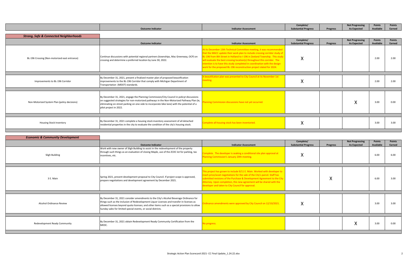|                                                   | <b>Outcome Indicator</b>                                                                                                                                                                                                                                                                                       | <b>Indicator Assessment</b>                                                                                                                                                                                                                                                                                                                                                                                                                                      | Complete/<br><b>Substantial Progress</b> | <b>Progress</b> | <b>Not Progressing</b><br><b>As Expected</b> | <b>Points</b><br>Available | <b>Points</b><br>Earned |
|---------------------------------------------------|----------------------------------------------------------------------------------------------------------------------------------------------------------------------------------------------------------------------------------------------------------------------------------------------------------------|------------------------------------------------------------------------------------------------------------------------------------------------------------------------------------------------------------------------------------------------------------------------------------------------------------------------------------------------------------------------------------------------------------------------------------------------------------------|------------------------------------------|-----------------|----------------------------------------------|----------------------------|-------------------------|
| <b>Strong, Safe &amp; Connected Neighborhoods</b> |                                                                                                                                                                                                                                                                                                                |                                                                                                                                                                                                                                                                                                                                                                                                                                                                  |                                          |                 |                                              |                            |                         |
|                                                   | <b>Outcome Indicator</b>                                                                                                                                                                                                                                                                                       | <b>Indicator Assessment</b>                                                                                                                                                                                                                                                                                                                                                                                                                                      | Complete/<br><b>Substantial Progress</b> | <b>Progress</b> | <b>Not Progressing</b><br><b>As Expected</b> | Points<br>Available        | <b>Points</b><br>Earned |
| BL-196 Crossing (Non-motorized east entrance)     | Continue discussions with potential regional partners (townships, Mac Greenway, OCP) on<br>crossing and determine a preferred location by June 30, 2022.                                                                                                                                                       | At its December 13th Technical Committee meeting, it was recommended<br>that the MACC update their work plan to include crossing corridor study of<br>L-196 from 8th Street in Holland to I-196 in Zeeland Township. This study<br>will evaluate the best crossing location(s) throughout this corridor. The<br>ntention is to have this study completed in coordination with the design<br>work for the proposed BL-196 reconstruction project slated for 2024. | Λ                                        |                 |                                              | 2.00                       | 2.00                    |
|                                                   |                                                                                                                                                                                                                                                                                                                |                                                                                                                                                                                                                                                                                                                                                                                                                                                                  |                                          |                 |                                              |                            |                         |
| Improvements to BL-196 Corridor                   | By December 31, 2021, present a finalized master plan of proposed beautification<br>improvements to the BL-196 Corridor that comply with Michigan Department of<br>Transportation (MDOT) standards.                                                                                                            | beautifcation plan was presented to City Council at its November 1st<br>neeting.                                                                                                                                                                                                                                                                                                                                                                                 |                                          |                 |                                              | 2.00                       | 2.00                    |
|                                                   |                                                                                                                                                                                                                                                                                                                |                                                                                                                                                                                                                                                                                                                                                                                                                                                                  |                                          |                 |                                              |                            |                         |
| Non-Motorized System Plan (policy decisions)      | By December 31, 2021, engage the Planning Commission/City Council in policyt discussions<br>on suggested strategies for non-motorized pathways in the Non-Motorized Pathway Plan (ie,<br>eliminating on-street parking on one-side to incorporate bike lane) with the potential of a<br>pilot project in 2022. | lanning Commission discussions have not yet occurred.                                                                                                                                                                                                                                                                                                                                                                                                            |                                          |                 | $\checkmark$<br>Λ                            | 3.00                       | 0.00                    |
|                                                   |                                                                                                                                                                                                                                                                                                                |                                                                                                                                                                                                                                                                                                                                                                                                                                                                  |                                          |                 |                                              |                            |                         |
| <b>Housing Stock Inventory</b>                    | By December 31, 2021 complete a housing stock inventory assessment of all detached<br>residential properties in the city to evaluate the condition of the city's housing stock.                                                                                                                                | Complete all housing stock has been inventoried.                                                                                                                                                                                                                                                                                                                                                                                                                 |                                          |                 |                                              | 3.00                       | 3.00                    |

| <b>Economic &amp; Community Development</b> |                                                                                                                                                                                                                                                                                                                                                      |                                                                                                                                                                                                                                                                                                                                                                |                                          |          |                                              |                     |                         |
|---------------------------------------------|------------------------------------------------------------------------------------------------------------------------------------------------------------------------------------------------------------------------------------------------------------------------------------------------------------------------------------------------------|----------------------------------------------------------------------------------------------------------------------------------------------------------------------------------------------------------------------------------------------------------------------------------------------------------------------------------------------------------------|------------------------------------------|----------|----------------------------------------------|---------------------|-------------------------|
|                                             | <b>Outcome Indicator</b>                                                                                                                                                                                                                                                                                                                             | <b>Indicator Assessment</b>                                                                                                                                                                                                                                                                                                                                    | Complete/<br><b>Substantial Progress</b> | Progress | <b>Not Progressing</b><br><b>As Expected</b> | Points<br>Available | <b>Points</b><br>Earned |
| Sligh Building                              | Work with new owner of Sligh Building to assist in the redevelopment of the property<br>through such things as an evaluation of closing Maple, use of the ZCDC lot for parking, tax<br>incentives, etc.                                                                                                                                              | omplete. The developer is seaking a conditional site plan approval at<br>lanning Commission's January 20th meeting.                                                                                                                                                                                                                                            | v<br>↗                                   |          |                                              | 6.00                | 6.00                    |
| 3 E. Main                                   | Spring 2021, present development proposal to City Council. If project scope is approved,<br>prepare negotiations and development agreement by December 2021.                                                                                                                                                                                         | This project has grown to include 9/11 E. Main. Worked with developer to<br>each price/asset negotiations for the sale of the City's parcel. Staff has<br>ubmitted revisions of the Purchase & Development Agreement to the City<br>Attorney. Upon completion, this new agreement will be shared with the<br>developer and taken to City Council for approval. |                                          | ↗        |                                              | 6.00                | 3.00                    |
| <b>Alcohol Ordinance Review</b>             | By December 31, 2021 consider amendments to the City's Alcohol Beverage Ordinance for<br>things such as the inclusion of Redevelopment Liquor Licenses and transfer-in licenses as<br>allowed licenses beyond quota licenses; and other items such as a special provisions to allow<br>Sunday sales for limited special events, or social districts. | Ordinance amendments were approved by City Council on 12/10/2021.                                                                                                                                                                                                                                                                                              | $\Lambda$                                |          |                                              | 3.00                | 3.00                    |
| Redevelopment Ready Community               | By December 31, 2021 obtain Redevelopment Ready Community Certification from the<br>MEDC.                                                                                                                                                                                                                                                            | <b>No progress.</b>                                                                                                                                                                                                                                                                                                                                            |                                          |          | $\checkmark$<br>Λ                            | 3.00                | 0.00                    |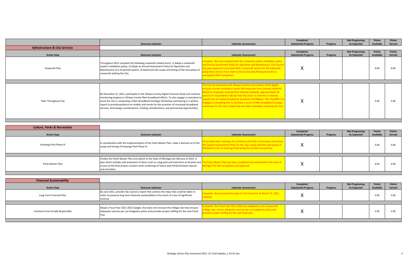|                                           | <b>Outcome Indicator</b>                                                                                                                                                                                                                                                                                                                                                                                                                                                              | <b>Indicator Assessment</b>                                                                                                                                                                                                                                                                                                                                                                                                                                                                                                               | Complete/<br><b>Substantial Progress</b> | <b>Progress</b> | <b>Not Progressing</b><br><b>As Expected</b> | <b>Points</b><br>Available | <b>Points</b><br>Earned |
|-------------------------------------------|---------------------------------------------------------------------------------------------------------------------------------------------------------------------------------------------------------------------------------------------------------------------------------------------------------------------------------------------------------------------------------------------------------------------------------------------------------------------------------------|-------------------------------------------------------------------------------------------------------------------------------------------------------------------------------------------------------------------------------------------------------------------------------------------------------------------------------------------------------------------------------------------------------------------------------------------------------------------------------------------------------------------------------------------|------------------------------------------|-----------------|----------------------------------------------|----------------------------|-------------------------|
| <b>Infrastructure &amp; City Services</b> |                                                                                                                                                                                                                                                                                                                                                                                                                                                                                       |                                                                                                                                                                                                                                                                                                                                                                                                                                                                                                                                           |                                          |                 |                                              |                            |                         |
| <b>Action Step</b>                        | <b>Outcome Indicator</b>                                                                                                                                                                                                                                                                                                                                                                                                                                                              | <b>Indicator Assessment</b>                                                                                                                                                                                                                                                                                                                                                                                                                                                                                                               | Complete/<br><b>Substantial Progress</b> | <b>Progress</b> | <b>Not Progressing</b><br><b>As Expected</b> | <b>Points</b><br>Available | <b>Points</b><br>Earned |
| Snowmelt Plan                             | Throughout 2021 complete the following snowmelt related items: 1) Adopt a snowmelt<br>system installation policy; 2) Adopt an Annual Assessment Policy for Operation and<br>Maintenance of a Snowmelt system; 3) Determine the scope and timing of the next phase of<br>snowmelt withing the City.                                                                                                                                                                                    | omplete. We have adopted both the snowmelt system installation policy<br>nd Annual Assessment Policy for Operation and Maintenance. City Counci<br>so gave approval to proceed with a snowmelt system for the sidewalks<br>long Main Avenue from State to the Community Restaurant with an<br>nticipated 2023 completion.                                                                                                                                                                                                                 | ↗                                        |                 |                                              | 6.00                       | 6.00                    |
| Fiber Throughout City                     | By December 31, 2021, participate in the Ottawa County Digital Inclusion Study and continue<br>monitoring progress in Ottawa County fiber broadband efforts. To also engage a consultant to<br>assist the city in conducting a Fiber Broadband Strategic Workshop culminating in a written<br>report to provide guidance on models and trends for the provision of municipal broadband<br>services, technology considerations, funding considerations, and partnership opportunities. | he City has partnered with Ottawa County in promotion of the Digital<br>nclusion Survey resulting in nearly 500 responses from Zeeland residents.<br>Based on responses received from Zeeland residents, approximately 36<br>ercent of respondents indicate that they have no internet or internet<br>eeds that are below broadband standards (25/3Mbps). The City/BPW has<br>igaged a consulting firm to facilitate a series of fiber broadband strategic<br>orkshops for the City's leadership and other attendees invited by the City. | $\lambda$                                |                 |                                              | 3.00                       | 3.00                    |

| <b>Culture, Parks &amp; Recreation</b> |                                                                                                                                                                                                                                                                                                                |                                                                                                                                                                                                                          |                                          |                 |                                              |                     |                         |
|----------------------------------------|----------------------------------------------------------------------------------------------------------------------------------------------------------------------------------------------------------------------------------------------------------------------------------------------------------------|--------------------------------------------------------------------------------------------------------------------------------------------------------------------------------------------------------------------------|------------------------------------------|-----------------|----------------------------------------------|---------------------|-------------------------|
| <b>Action Step</b>                     | <b>Outcome Indicator</b>                                                                                                                                                                                                                                                                                       | <b>Indicator Assessment</b>                                                                                                                                                                                              | Complete/<br><b>Substantial Progress</b> | <b>Progress</b> | <b>Not Progressing</b><br><b>As Expected</b> | Points<br>Available | <b>Points</b><br>Earned |
| Huizenga Park Phase III                | In coordination with the implementation of the Parks Master Plan, make a decision as to the<br>scope and timing of Huizenga Park Phase III.                                                                                                                                                                    | At its September meeting, the Cemetery and Parks Commission prioritized<br>he Capital Improvement Plans for the City's parks with the next phase of<br>lickleball Courts at Huizenga Park being the number one priority. |                                          |                 |                                              | 3.00                | 3.00                    |
| Parks Master Plan                      | Finalize the Parks Master Plan and submit to the State of Michigan by February of 2022. A<br>plan which includes and evaluation of items such as a dog park and restrooms at all parks and 1<br>as part of the final project contains artist renderings of future park Park/Cemetery layouts<br>and amenities. | e Parks Master Plan has been completed and submitted to the State of<br>chigan for their acceptance and approval.                                                                                                        |                                          |                 |                                              | 4.00                | 4.00                    |

| <b>Financial Sustainability</b>     |                                                                                                                                                                                                      |                                                                                                                                                                                                |                             |                 |                        |           |               |
|-------------------------------------|------------------------------------------------------------------------------------------------------------------------------------------------------------------------------------------------------|------------------------------------------------------------------------------------------------------------------------------------------------------------------------------------------------|-----------------------------|-----------------|------------------------|-----------|---------------|
|                                     |                                                                                                                                                                                                      |                                                                                                                                                                                                | Complete/                   |                 | <b>Not Progressing</b> | Points    | <b>Points</b> |
| <b>Action Step</b>                  | <b>Outcome Indicator</b>                                                                                                                                                                             | Indicator Assessment                                                                                                                                                                           | <b>Substantial Progress</b> | <b>Progress</b> | <b>As Expected</b>     | Available | Earned        |
| Long-Term Financial Plan            | By June 2021, provide City Council a report that outlines the steps that could be taken in<br>order to preserve long-term financial sustainability in the event of a loss of significant<br>revenue. | Complete. We presented this plan to City Council at its March 15, 2021<br>eeting.                                                                                                              |                             |                 |                        | 3.00      | 3.00          |
|                                     |                                                                                                                                                                                                      |                                                                                                                                                                                                |                             |                 |                        |           |               |
| Continue to be Fiscally Responsible | Adopt a Fiscal Year 2021-2022 budget, that does not increase the millage rate that ensures<br>adequate reserves per our budgetary policy and provides proper staffing for the next Fiscal<br>Year    | omplete. Our Fiscal Year 2021-2022 was adopted to not increase the<br>illage rate, ensure adequate reserves per our budgetary policy and<br>provides proper staffing for the next fiscal year. |                             |                 |                        | 2.00      | 2.00          |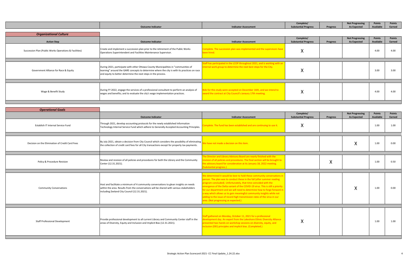|                                                        | <b>Outcome Indicator</b>                                                                                                                                                                                                                             | <b>Indicator Assessment</b>                                                                                                                     | Complete/<br><b>Substantial Progress</b> | <b>Progress</b> | <b>Not Progressing</b><br><b>As Expected</b> | <b>Points</b><br>Available | <b>Points</b><br>Earned |
|--------------------------------------------------------|------------------------------------------------------------------------------------------------------------------------------------------------------------------------------------------------------------------------------------------------------|-------------------------------------------------------------------------------------------------------------------------------------------------|------------------------------------------|-----------------|----------------------------------------------|----------------------------|-------------------------|
| <b>Organizational Culture</b>                          |                                                                                                                                                                                                                                                      |                                                                                                                                                 |                                          |                 |                                              |                            |                         |
| <b>Action Step</b>                                     | <b>Outcome Indicator</b>                                                                                                                                                                                                                             | <b>Indicator Assessment</b>                                                                                                                     | Complete/<br><b>Substantial Progress</b> | <b>Progress</b> | <b>Not Progressing</b><br><b>As Expected</b> | <b>Points</b><br>Available | <b>Points</b><br>Earned |
| Succession Plan (Public Works Operations & Facilities) | Create and implement a succession plan prior to the retirement of the Public Works<br>Operations Superintendent and Facilities Maintenance Supervisor.                                                                                               | Complete. The succession plan was implemented and the supervisors have<br>been hired.                                                           |                                          |                 |                                              | 4.00                       | 4.00                    |
| Government Alliance for Race & Equity                  | During 2021, participate with other Ottawa County Municipalities in "communities of<br>learning" around the GARE concepts to determine where the city is with its practices on race<br>and equity to better determine the next steps in the process. | Staff has participated in the LCOP throughout 2021, and is working with an<br>nternal work group to determine the next best steps for the City. |                                          |                 |                                              | 3.00                       | 3.00                    |
| Wage & Benefit Study                                   | During FY 2022, engage the services of a professional consultant to perform an analysis of<br>wages and benefits; and to evaluate the city's wage implementation practices.                                                                          | ids for this study were accepted on December 16th, and we intend to<br>award the contract at City Council's Janaury 17th meeting.               | 71                                       |                 |                                              | 4.00                       | 4.00                    |

| <b>Operational Goals</b>                        |                                                                                                                                                                                                                                   |                                                                                                                                                                                                                                                                                                                                                                                                                                                                                                                                                                                   |                                          |                 |                                              |                            |                         |
|-------------------------------------------------|-----------------------------------------------------------------------------------------------------------------------------------------------------------------------------------------------------------------------------------|-----------------------------------------------------------------------------------------------------------------------------------------------------------------------------------------------------------------------------------------------------------------------------------------------------------------------------------------------------------------------------------------------------------------------------------------------------------------------------------------------------------------------------------------------------------------------------------|------------------------------------------|-----------------|----------------------------------------------|----------------------------|-------------------------|
|                                                 | <b>Outcome Indicator</b>                                                                                                                                                                                                          | <b>Indicator Assessment</b>                                                                                                                                                                                                                                                                                                                                                                                                                                                                                                                                                       | Complete/<br><b>Substantial Progress</b> | <b>Progress</b> | <b>Not Progressing</b><br><b>As Expected</b> | <b>Points</b><br>Available | <b>Points</b><br>Earned |
| Establish IT Internal Service Fund              | Through 2021, develop accounting protocols for the newly established Information<br>Technology Internal Service Fund which adhere to Generally Accepted Accounting Principles.                                                    | complete. The fund has been established and are continuing to use it.                                                                                                                                                                                                                                                                                                                                                                                                                                                                                                             | X                                        |                 |                                              | 1.00                       | 1.00                    |
| Decision on the Elimination of Credit Card Fees | By July 2021, obtain a decision from City Council which considers the possibility of eliminating<br>the collection of credit card fees for all City transactions except for property tax payments.                                | e have not made a decision on this item.                                                                                                                                                                                                                                                                                                                                                                                                                                                                                                                                          |                                          |                 | X                                            | 1.00                       | 0.00                    |
| Policy & Procedure Revision                     | Review and revision of all policies and procedures for both the Library and the Community<br>Center (12.31.2021).                                                                                                                 | he Director and Library Advisory Board are nearly finished with the<br>evision of all policies and procedures. The final section will be brought to<br>he advisory board for consideration at its January 18, 2022 meeting.<br>Substantial progress.)                                                                                                                                                                                                                                                                                                                             |                                          | ж               |                                              | 1.00                       | 0.50                    |
| <b>Community Conversations</b>                  | Host and facilitate a minimum of 4 community conversations to glean insights on needs<br>within the area. Results from the conversations will be shared with various stakeholders<br>including Zeeland City Council (12.31.2021). | We determined it would be best to hold these community conversations in<br>person. The plan was to conduct these in the fall (after summer reading<br>program concluded). Unfortunately, that time coincided with the<br>emergence of the Delta variant of the COVID-19 virus. This is still a priority<br>for our department and we will need to determine how to forge forward in<br>a way which allows us to gain meaningful community insights while not<br>adding to the issue of record high transmission rates of the virus in our<br>area. (Not progressing as expected.) |                                          |                 | X                                            | 1.00                       | 0.00                    |
| <b>Staff Professional Development</b>           | Provide professional development to all current Library and Community Center staff in the<br>areas of Diversity, Equity and Inclusion and Implicit Bias (12.31.2021).                                                             | Staff gathered on Monday, October 11, 2021 for a professional<br>evelopment day. An expert from the Lakeshore Ethnic Diversity Alliance<br>presented two hands-on workshop sessions on diversity, equity, and<br>inclusion (DEI) principles and implicit bias. (Completed.)                                                                                                                                                                                                                                                                                                       | ∧                                        |                 |                                              | 1.00                       | 1.00                    |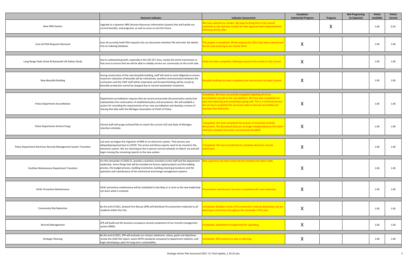|                                                                   | <b>Outcome Indicator</b>                                                                                                                                                                                                                                                                                                                                            | <b>Indicator Assessment</b>                                                                                                                                                                                                                                                                                               | Complete/<br><b>Substantial Progress</b> | <b>Progress</b> | <b>Not Progressing</b><br><b>As Expected</b> | <b>Points</b><br><b>Available</b> | <b>Points</b><br>Earned |
|-------------------------------------------------------------------|---------------------------------------------------------------------------------------------------------------------------------------------------------------------------------------------------------------------------------------------------------------------------------------------------------------------------------------------------------------------|---------------------------------------------------------------------------------------------------------------------------------------------------------------------------------------------------------------------------------------------------------------------------------------------------------------------------|------------------------------------------|-----------------|----------------------------------------------|-----------------------------------|-------------------------|
| New HRIS System                                                   | Upgrade to a dynamic HRIS (Human Resources Information System) that will handle our<br>current benefits, and programs, as well as serve us into the future.                                                                                                                                                                                                         | We have selected our vendor. We hope to bring this to City Council<br>ometime in the next few months for their approval with implementation<br>ollowing shortly after.                                                                                                                                                    |                                          | X               |                                              | 1.00                              | 0.50                    |
| Scan all FOIA Requests Received                                   | Scan all currently held FOIA requests into our document retention file and enter the details<br>into an indexing database.                                                                                                                                                                                                                                          | his project is completed. All the requests for 2021 have been scanned and<br>ve are now scanning as we receive them.                                                                                                                                                                                                      | $\mathbf v$<br>V                         |                 |                                              | 1.00                              | 1.00                    |
| Long-Range State Street & Roosevelt Lift Station Study            | Due to substantial growth, especially in the 425 ZCT Area, review the entire transmision in<br>that area to ensure that we will be able to reliably service our community on the north side.                                                                                                                                                                        | tudy has been completed. Waiting to present the results to City Council.                                                                                                                                                                                                                                                  | Χ                                        |                 |                                              | 1.00                              | 1.00                    |
| <b>New Biosolids Building</b>                                     | During construction of the new biosolids building, staff will need to work diligently to ensure<br>maximum reduction of biosolids will be maintained, excellent sommunication between the<br>contractors and the CWP staff will be imperative and forward thinking will be crucial as<br>biosolids production cannot be stopped due to normal wastewater treatment. | siosolids building has been completed and new process has been started.                                                                                                                                                                                                                                                   | X                                        |                 |                                              | 1.00                              | 1.00                    |
| <b>Police Department Accreditation</b>                            | Department accreditation requires that we record and provide documentation yearly that<br>substantiates the continuation of established policy and procedures. We will establish a<br>system for recording the requirements of our new accreditation and develop a means of<br>sharing that data with the Michigan Association of Chiefs of Police.                 | completed. We have successfully navigated migrating all of our<br>ccreditation records to the new platform. We have also completed our<br>ear-end reporting and everything is going well. This is a continual process<br>out we have completed the necessary steps to become accredited and<br>naintain that distinction. | $\lambda$                                |                 |                                              | 1.00                              | 1.00                    |
| Police Department Archive Purge                                   | Clerical staff will purge archived files to match the current COZ and State of Michigan<br>retention schedule.                                                                                                                                                                                                                                                      | Completed. We have completed the process of reviewing archived<br>documents. The documents that are no longer needed based on the state's<br>etention schedule have been removed and shredded.                                                                                                                            | Χ                                        |                 |                                              | 1.00                              | 1.00                    |
| Police Department Electronic Records Management System Transition | Last year we began the migration of RMS to an electronic system. That process was<br>delayed/postponed due to COVID. The arrest and felony reports need to be moved to the<br>electronic system. We are returning to the in-person normal schedule on March 1st and will<br>begin moving the remaining reports to the new system.                                   | Completed. We have transitioned to complete electronic records<br>ubmission.                                                                                                                                                                                                                                              | $\Lambda$                                |                 |                                              | 1.00                              | 1.00                    |
| <b>Facilities Maintenance Department Transition</b>               | For the remainder of 2020-21, provide a seamless transition to the staff and the department<br>leadership. Some things that will be included are future capital projects and the bidding<br>process, the budget process, building inventories, building cleaning procedures and the<br>operation and maintenance of the mechanical and energy management systems.   | supervisor has been nired and the transition has been made.                                                                                                                                                                                                                                                               | Χ                                        |                 |                                              | 1.00                              | 1.00                    |
| <b>HVAC Preventive Maintenance</b>                                | HVAC preventive maintenance will be scheduled in late May or in June so the new leadership<br>can learn what is involved.                                                                                                                                                                                                                                           | reventative maintenance has been completed with new leadership.                                                                                                                                                                                                                                                           | Χ                                        |                 |                                              | 1.00                              | 1.00                    |
| <b>Community Risk Reduction</b>                                   | By the end of 2021, Zeeland Fire Rescue (ZFR) will distribute fire prevention materials to all<br>residents within the City.                                                                                                                                                                                                                                        | ompleted. Multiple rounds of fire prevention material distributed, we are<br>lanning to send more throughout the remainder of the year.                                                                                                                                                                                   | Χ                                        |                 |                                              | 1.00                              | 1.00                    |
| <b>Records Management</b>                                         | ZFR will build-out the business occupancy records component of our records management<br>system (RMS).                                                                                                                                                                                                                                                              | Completed. Submitted to ImageTrend for uploading.                                                                                                                                                                                                                                                                         | Χ                                        |                 |                                              | 1.00                              | 1.00                    |
| <b>Strategic Planning</b>                                         | By the end of 2021, ZFR will evaluate our mission statement, values, goals and objectives,<br>review the 2020 ISO report, assess NFPA standards compared to department statistics, and<br>begin developing a plan for long-term sustainability.                                                                                                                     | ompleted. Will continue to wok on planning.                                                                                                                                                                                                                                                                               | Χ                                        |                 |                                              | 1.00                              | 1.00                    |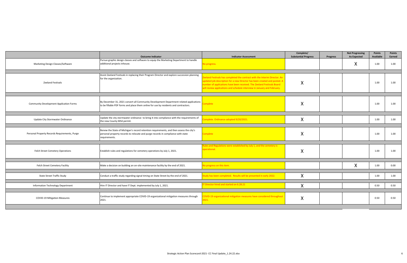|                                                | <b>Outcome Indicator</b>                                                                                                                                                                     | <b>Indicator Assessment</b>                                                                                                                                                                                                                                                                                  | Complete/<br><b>Substantial Progress</b> | <b>Progress</b> | <b>Not Progressing</b><br><b>As Expected</b> | Points<br>Available | <b>Points</b><br>Earned |
|------------------------------------------------|----------------------------------------------------------------------------------------------------------------------------------------------------------------------------------------------|--------------------------------------------------------------------------------------------------------------------------------------------------------------------------------------------------------------------------------------------------------------------------------------------------------------|------------------------------------------|-----------------|----------------------------------------------|---------------------|-------------------------|
| Marketing Design Classes/Software              | Pursue graphic design classes and software to equip the Marketing Department to handle<br>additional projects inhouse.                                                                       | lo progress.                                                                                                                                                                                                                                                                                                 |                                          |                 | X                                            | 1.00                | 1.00                    |
|                                                |                                                                                                                                                                                              |                                                                                                                                                                                                                                                                                                              |                                          |                 |                                              |                     |                         |
| <b>Zeeland Festivals</b>                       | Assist Zeeland Festivals in replacing their Program Director and explore succession planning<br>for the organization.                                                                        | eeland Festivals has completed the contract with the Interim Director. An<br>updated job description for a new Director has been created and posted. A<br>number of applications have been received. The Zeeland Festivals Board<br>will review applications and schedule interview in January and February. | X                                        |                 |                                              | 1.00                | 1.00                    |
|                                                |                                                                                                                                                                                              |                                                                                                                                                                                                                                                                                                              |                                          |                 |                                              |                     |                         |
| <b>Community Development Application Forms</b> | By December 31, 2021 convert all Community Development Department related applications<br>to be fillable PDF forms and place them online for use by residents and contractors.               | omplete                                                                                                                                                                                                                                                                                                      | X                                        |                 |                                              | 1.00                | 1.00                    |
|                                                |                                                                                                                                                                                              |                                                                                                                                                                                                                                                                                                              |                                          |                 |                                              |                     |                         |
| Update City Stormwater Ordinance               | Update the city stormwater ordinance to bring it into compliance with the requirements of<br>the new County MS4 permit.                                                                      | omplete. Ordinance adopted 9/20/2021.                                                                                                                                                                                                                                                                        | X                                        |                 |                                              | 1.00                | 1.00                    |
|                                                |                                                                                                                                                                                              |                                                                                                                                                                                                                                                                                                              |                                          |                 |                                              |                     |                         |
| Personal Property Records Requirements, Purge  | Renew the State of Michigan's record retention requirements, and then assess the city's<br>personal property records to relocate and purge records in compliance with state<br>requirements. | complete                                                                                                                                                                                                                                                                                                     | Χ                                        |                 |                                              | 1.00                | 1.00                    |
|                                                |                                                                                                                                                                                              |                                                                                                                                                                                                                                                                                                              |                                          |                 |                                              |                     |                         |
| <b>Felch Street Cemetery Operations</b>        | Establish rules and regulations for cemetery operations by July 1, 2021.                                                                                                                     | ules and Regulations were established by July 1, and the cemetery is<br>perational.                                                                                                                                                                                                                          | Χ                                        |                 |                                              | 1.00                | 1.00                    |
|                                                |                                                                                                                                                                                              |                                                                                                                                                                                                                                                                                                              |                                          |                 |                                              |                     |                         |
| Felch Street Cemetery Facility                 | Make a decision on building an on-site maintenance facility by the end of 2021.                                                                                                              | lo progress on this item.                                                                                                                                                                                                                                                                                    |                                          |                 | X                                            | 1.00                | 0.00                    |
| <b>State Street Traffic Study</b>              | Conduct a traffic study regarding signal timing on State Street by the end of 2021.                                                                                                          | tudy has been completed. Results will be presented in early 2022.                                                                                                                                                                                                                                            | X                                        |                 |                                              | 1.00                | 1.00                    |
|                                                |                                                                                                                                                                                              |                                                                                                                                                                                                                                                                                                              |                                          |                 |                                              |                     |                         |
|                                                |                                                                                                                                                                                              | T Director hired and started on 6.28.21                                                                                                                                                                                                                                                                      |                                          |                 |                                              |                     |                         |
| Information Technology Department              | Hire IT Director and have IT Dept. implemented by July 1, 2021.                                                                                                                              |                                                                                                                                                                                                                                                                                                              | X                                        |                 |                                              | 0.50                | 0.50                    |
|                                                |                                                                                                                                                                                              |                                                                                                                                                                                                                                                                                                              |                                          |                 |                                              |                     |                         |
| <b>COVID-19 Mitigation Measures</b>            | Continue to implement appropriate COVID-19 organizational mitigation measures through<br>2021.                                                                                               | COVID-19 organizational mitigation measures have considered throughout<br>021.                                                                                                                                                                                                                               | X                                        |                 |                                              | 0.50                | 0.50                    |
|                                                |                                                                                                                                                                                              |                                                                                                                                                                                                                                                                                                              |                                          |                 |                                              |                     |                         |